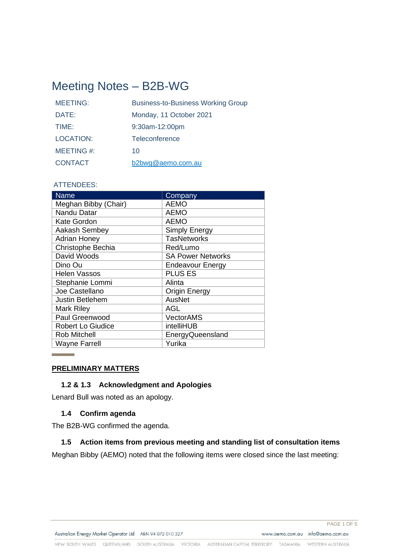# Meeting Notes – B2B-WG

| <b>MEETING:</b>  | <b>Business-to-Business Working Group</b> |
|------------------|-------------------------------------------|
| DATE:            | Monday, 11 October 2021                   |
| TIME:            | 9:30am-12:00pm                            |
| <b>LOCATION:</b> | Teleconference                            |
| MEETING #:       | 10                                        |
| <b>CONTACT</b>   | b2bwg@aemo.com.au                         |

#### ATTENDEES:

| <b>Name</b>              | Company                  |
|--------------------------|--------------------------|
| Meghan Bibby (Chair)     | <b>AEMO</b>              |
| Nandu Datar              | <b>AEMO</b>              |
| <b>Kate Gordon</b>       | <b>AEMO</b>              |
| Aakash Sembey            | <b>Simply Energy</b>     |
| <b>Adrian Honey</b>      | <b>TasNetworks</b>       |
| Christophe Bechia        | Red/Lumo                 |
| David Woods              | <b>SA Power Networks</b> |
| Dino Ou                  | <b>Endeavour Energy</b>  |
| <b>Helen Vassos</b>      | <b>PLUS ES</b>           |
| Stephanie Lommi          | Alinta                   |
| Joe Castellano           | <b>Origin Energy</b>     |
| <b>Justin Betlehem</b>   | <b>AusNet</b>            |
| <b>Mark Riley</b>        | AGL                      |
| Paul Greenwood           | <b>VectorAMS</b>         |
| <b>Robert Lo Giudice</b> | intelliHUB               |
| <b>Rob Mitchell</b>      | EnergyQueensland         |
| <b>Wayne Farrell</b>     | Yurika                   |

#### **PRELIMINARY MATTERS**

## **1.2 & 1.3 Acknowledgment and Apologies**

Lenard Bull was noted as an apology.

## **1.4 Confirm agenda**

The B2B-WG confirmed the agenda.

#### **1.5 Action items from previous meeting and standing list of consultation items**

Meghan Bibby (AEMO) noted that the following items were closed since the last meeting: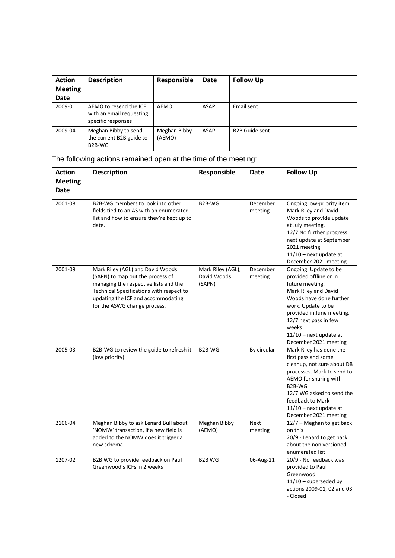| <b>Action</b><br><b>Meeting</b><br><b>Date</b> | <b>Description</b>                                                       | Responsible            | <b>Date</b> | <b>Follow Up</b>      |
|------------------------------------------------|--------------------------------------------------------------------------|------------------------|-------------|-----------------------|
| 2009-01                                        | AEMO to resend the ICF<br>with an email requesting<br>specific responses | AEMO                   | ASAP        | Email sent            |
| 2009-04                                        | Meghan Bibby to send<br>the current B2B guide to<br>B2B-WG               | Meghan Bibby<br>(AEMO) | ASAP        | <b>B2B Guide sent</b> |

The following actions remained open at the time of the meeting:

| <b>Action</b><br><b>Meeting</b> | <b>Description</b>                                                                                                                                                                                                              | Responsible                                | Date                | <b>Follow Up</b>                                                                                                                                                                                                                                                |
|---------------------------------|---------------------------------------------------------------------------------------------------------------------------------------------------------------------------------------------------------------------------------|--------------------------------------------|---------------------|-----------------------------------------------------------------------------------------------------------------------------------------------------------------------------------------------------------------------------------------------------------------|
| Date                            |                                                                                                                                                                                                                                 |                                            |                     |                                                                                                                                                                                                                                                                 |
| 2001-08                         | B2B-WG members to look into other<br>fields tied to an AS with an enumerated<br>list and how to ensure they're kept up to<br>date.                                                                                              | B2B-WG                                     | December<br>meeting | Ongoing low-priority item.<br>Mark Riley and David<br>Woods to provide update<br>at July meeting.<br>12/7 No further progress.<br>next update at September<br>2021 meeting<br>$11/10$ - next update at<br>December 2021 meeting                                 |
| 2001-09                         | Mark Riley (AGL) and David Woods<br>(SAPN) to map out the process of<br>managing the respective lists and the<br>Technical Specifications with respect to<br>updating the ICF and accommodating<br>for the ASWG change process. | Mark Riley (AGL),<br>David Woods<br>(SAPN) | December<br>meeting | Ongoing. Update to be<br>provided offline or in<br>future meeting.<br>Mark Riley and David<br>Woods have done further<br>work. Update to be<br>provided in June meeting.<br>12/7 next pass in few<br>weeks<br>$11/10$ – next update at<br>December 2021 meeting |
| 2005-03                         | B2B-WG to review the guide to refresh it<br>(low priority)                                                                                                                                                                      | B2B-WG                                     | By circular         | Mark Riley has done the<br>first pass and some<br>cleanup, not sure about DB<br>processes. Mark to send to<br>AEMO for sharing with<br>B2B-WG<br>12/7 WG asked to send the<br>feedback to Mark<br>$11/10$ – next update at<br>December 2021 meeting             |
| 2106-04                         | Meghan Bibby to ask Lenard Bull about<br>'NOMW' transaction, if a new field is<br>added to the NOMW does it trigger a<br>new schema.                                                                                            | Meghan Bibby<br>(AEMO)                     | Next<br>meeting     | 12/7 - Meghan to get back<br>on this<br>20/9 - Lenard to get back<br>about the non versioned<br>enumerated list                                                                                                                                                 |
| 1207-02                         | B2B WG to provide feedback on Paul<br>Greenwood's ICFs in 2 weeks                                                                                                                                                               | <b>B2B WG</b>                              | 06-Aug-21           | 20/9 - No feedback was<br>provided to Paul<br>Greenwood<br>$11/10$ – superseded by<br>actions 2009-01, 02 and 03<br>- Closed                                                                                                                                    |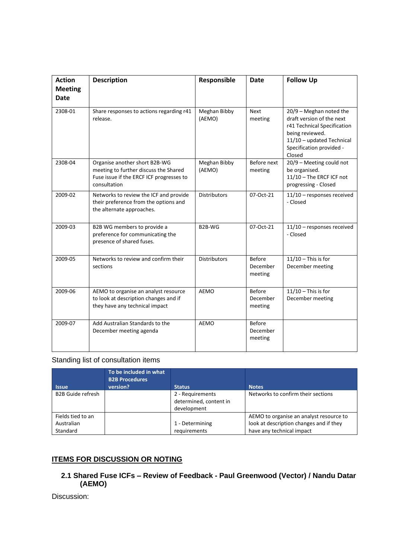| <b>Action</b><br><b>Meeting</b><br><b>Date</b> | <b>Description</b>                                                                                                                 | Responsible            | <b>Date</b>                          | <b>Follow Up</b>                                                                                                                                                            |
|------------------------------------------------|------------------------------------------------------------------------------------------------------------------------------------|------------------------|--------------------------------------|-----------------------------------------------------------------------------------------------------------------------------------------------------------------------------|
| 2308-01                                        | Share responses to actions regarding r41<br>release.                                                                               | Meghan Bibby<br>(AEMO) | <b>Next</b><br>meeting               | $20/9$ - Meghan noted the<br>draft version of the next<br>r41 Technical Specification<br>being reviewed.<br>11/10 - updated Technical<br>Specification provided -<br>Closed |
| 2308-04                                        | Organise another short B2B-WG<br>meeting to further discuss the Shared<br>Fuse issue if the ERCF ICF progresses to<br>consultation | Meghan Bibby<br>(AEMO) | Before next<br>meeting               | 20/9 - Meeting could not<br>be organised.<br>11/10 - The ERCF ICF not<br>progressing - Closed                                                                               |
| 2009-02                                        | Networks to review the ICF and provide<br>their preference from the options and<br>the alternate approaches.                       | <b>Distributors</b>    | 07-Oct-21                            | 11/10 - responses received<br>- Closed                                                                                                                                      |
| 2009-03                                        | B2B WG members to provide a<br>preference for communicating the<br>presence of shared fuses.                                       | B <sub>2</sub> B-WG    | 07-Oct-21                            | 11/10 - responses received<br>- Closed                                                                                                                                      |
| 2009-05                                        | Networks to review and confirm their<br>sections                                                                                   | <b>Distributors</b>    | <b>Before</b><br>December<br>meeting | $11/10$ - This is for<br>December meeting                                                                                                                                   |
| 2009-06                                        | AEMO to organise an analyst resource<br>to look at description changes and if<br>they have any technical impact                    | <b>AEMO</b>            | <b>Before</b><br>December<br>meeting | $11/10$ – This is for<br>December meeting                                                                                                                                   |
| 2009-07                                        | Add Australian Standards to the<br>December meeting agenda                                                                         | <b>AEMO</b>            | <b>Before</b><br>December<br>meeting |                                                                                                                                                                             |

# Standing list of consultation items

| <b>Issue</b>                    | To be included in what<br><b>B2B Procedures</b><br>version? | <b>Status</b>                                             | <b>Notes</b>                                                                       |
|---------------------------------|-------------------------------------------------------------|-----------------------------------------------------------|------------------------------------------------------------------------------------|
| <b>B2B Guide refresh</b>        |                                                             | 2 - Requirements<br>determined, content in<br>development | Networks to confirm their sections                                                 |
| Fields tied to an<br>Australian |                                                             | 1 - Determining                                           | AEMO to organise an analyst resource to<br>look at description changes and if they |
| Standard                        |                                                             | requirements                                              | have any technical impact                                                          |

## **ITEMS FOR DISCUSSION OR NOTING**

## **2.1 Shared Fuse ICFs – Review of Feedback - Paul Greenwood (Vector) / Nandu Datar (AEMO)**

Discussion: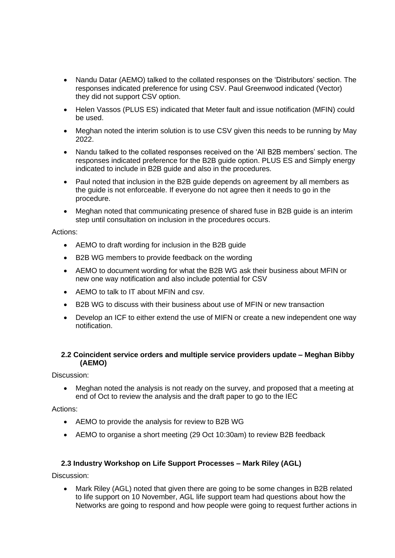- Nandu Datar (AEMO) talked to the collated responses on the 'Distributors' section. The responses indicated preference for using CSV. Paul Greenwood indicated (Vector) they did not support CSV option.
- Helen Vassos (PLUS ES) indicated that Meter fault and issue notification (MFIN) could be used.
- Meghan noted the interim solution is to use CSV given this needs to be running by May 2022.
- Nandu talked to the collated responses received on the 'All B2B members' section. The responses indicated preference for the B2B guide option. PLUS ES and Simply energy indicated to include in B2B guide and also in the procedures.
- Paul noted that inclusion in the B2B guide depends on agreement by all members as the guide is not enforceable. If everyone do not agree then it needs to go in the procedure.
- Meghan noted that communicating presence of shared fuse in B2B guide is an interim step until consultation on inclusion in the procedures occurs.

#### Actions:

- AEMO to draft wording for inclusion in the B2B guide
- B2B WG members to provide feedback on the wording
- AEMO to document wording for what the B2B WG ask their business about MFIN or new one way notification and also include potential for CSV
- AEMO to talk to IT about MFIN and csv.
- B2B WG to discuss with their business about use of MFIN or new transaction
- Develop an ICF to either extend the use of MIFN or create a new independent one way notification.

#### **2.2 Coincident service orders and multiple service providers update – Meghan Bibby (AEMO)**

Discussion:

• Meghan noted the analysis is not ready on the survey, and proposed that a meeting at end of Oct to review the analysis and the draft paper to go to the IEC

#### Actions:

- AEMO to provide the analysis for review to B2B WG
- AEMO to organise a short meeting (29 Oct 10:30am) to review B2B feedback

#### **2.3 Industry Workshop on Life Support Processes – Mark Riley (AGL)**

Discussion:

• Mark Riley (AGL) noted that given there are going to be some changes in B2B related to life support on 10 November, AGL life support team had questions about how the Networks are going to respond and how people were going to request further actions in